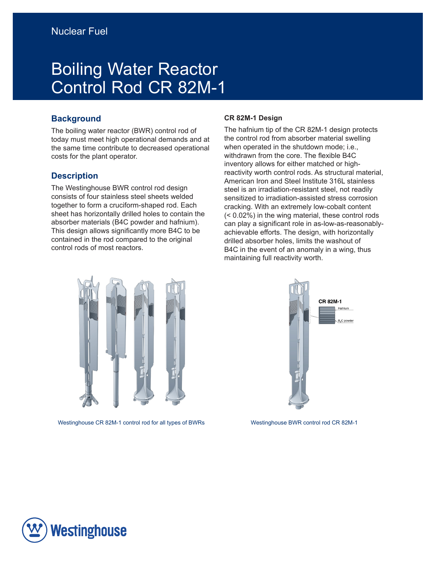# Boiling Water Reactor Control Rod CR 82M-1

# **Background**

The boiling water reactor (BWR) control rod of today must meet high operational demands and at the same time contribute to decreased operational costs for the plant operator.

### **Description**

The Westinghouse BWR control rod design consists of four stainless steel sheets welded together to form a cruciform-shaped rod. Each sheet has horizontally drilled holes to contain the absorber materials (B4C powder and hafnium). This design allows significantly more B4C to be contained in the rod compared to the original control rods of most reactors.

#### **CR 82M-1 Design**

The hafnium tip of the CR 82M-1 design protects the control rod from absorber material swelling when operated in the shutdown mode; i.e., withdrawn from the core. The flexible B4C inventory allows for either matched or highreactivity worth control rods. As structural material, American Iron and Steel Institute 316L stainless steel is an irradiation-resistant steel, not readily sensitized to irradiation-assisted stress corrosion cracking. With an extremely low-cobalt content (< 0.02%) in the wing material, these control rods can play a significant role in as-low-as-reasonablyachievable efforts. The design, with horizontally drilled absorber holes, limits the washout of B4C in the event of an anomaly in a wing, thus maintaining full reactivity worth.



Westinghouse CR 82M-1 control rod for all types of BWRs Westinghouse BWR control rod CR 82M-1